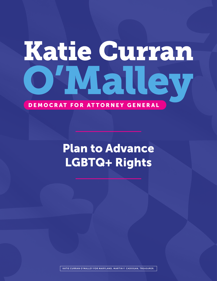# Katie Curran VIal

#### DEMOCRAT FOR ATTORNEY GENERAL

# Plan to Advance LGBTQ+ Rights

KATIE CURRAN O'MALLEY FOR MARYLAND, MARTIN F. CADOGAN, TREASURER.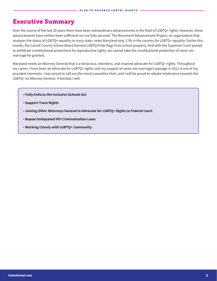#### Executive Summary

Over the course of the last 20 years there have been extraordinary advancements in the field of LGBTQ+ rights. However, these advancements have neither been sufficient nor are fully secured. The Movement Advancement Project, an organization that analyzes the status of LGBTQ+ equality in every state, ranks Maryland only 17th in the country for LGBTQ+ equality. Earlier this month, the Carroll County School Board banned LGBTQ Pride flags from school property. And with the Supreme Court poised to withdraw constitutional protections for reproductive rights, we cannot take the constitutional protection of same-sex marriage for granted.

Maryland needs an Attorney General that is a tenacious, relentless, and inspired advocate for LGBTQ+ rights. Throughout my career, I have been an advocate for LGBTQ+ rights, and my support of same-sex marriage's passage in 2011 is one of my proudest moments. I was proud to call out the moral cowardice then, and I will be proud to rebuke intolerance towards the LGBTQ+ as Attorney General. If elected, I will:

- **Fully Enforce the Inclusive Schools Act**
- **• Support Trans Rights**
- **• Joining Other Attorneys General to Advocate for LGBTQ+ Rights in Federal Court**
- **• Repeal Antiquated HIV Criminalization Laws**
- **• Working Closely with LGBTQ+ Community**